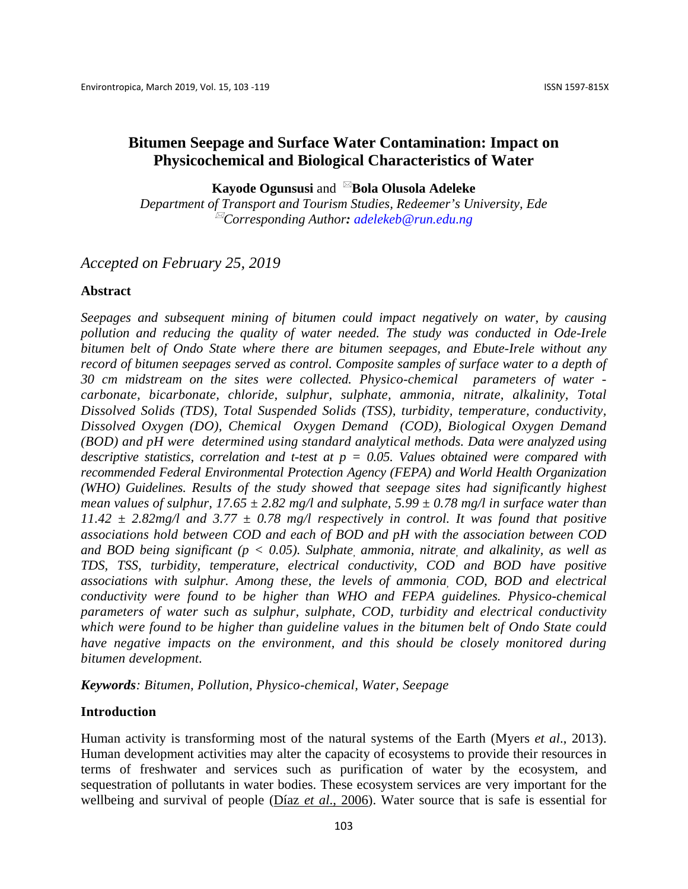**Kayode Ogunsusi** and <sup>⊠</sup>**Bola Olusola Adeleke** 

*Department of Transport and Tourism Studies, Redeemer's University, Ede Corresponding Author: [adelekeb@run.edu.ng](mailto:adelekeb@run.edu.ng)*

## *Accepted on February 25, 2019*

## **Abstract**

*Seepages and subsequent mining of bitumen could impact negatively on water, by causing pollution and reducing the quality of water needed. The study was conducted in Ode-Irele bitumen belt of Ondo State where there are bitumen seepages, and Ebute-Irele without any record of bitumen seepages served as control. Composite samples of surface water to a depth of 30 cm midstream on the sites were collected. Physico-chemical parameters of water carbonate, bicarbonate, chloride, sulphur, sulphate, ammonia, nitrate, alkalinity, Total Dissolved Solids (TDS), Total Suspended Solids (TSS), turbidity, temperature, conductivity, Dissolved Oxygen (DO), Chemical Oxygen Demand (COD), Biological Oxygen Demand (BOD) and pH were determined using standard analytical methods. Data were analyzed using descriptive statistics, correlation and t-test at p = 0.05. Values obtained were compared with recommended Federal Environmental Protection Agency (FEPA) and World Health Organization (WHO) Guidelines. Results of the study showed that seepage sites had significantly highest mean values of sulphur, 17.65*  $\pm$  2.82 mg/l and sulphate, 5.99  $\pm$  0.78 mg/l in surface water than  $11.42 \pm 2.82$  mg/l and  $3.77 \pm 0.78$  mg/l respectively in control. It was found that positive *associations hold between COD and each of BOD and pH with the association between COD and BOD being significant (p < 0.05). Sulphate, ammonia, nitrate, and alkalinity, as well as TDS, TSS, turbidity, temperature, electrical conductivity, COD and BOD have positive associations with sulphur. Among these, the levels of ammonia, COD, BOD and electrical conductivity were found to be higher than WHO and FEPA guidelines. Physico-chemical parameters of water such as sulphur, sulphate, COD, turbidity and electrical conductivity which were found to be higher than guideline values in the bitumen belt of Ondo State could have negative impacts on the environment, and this should be closely monitored during bitumen development.*

*Keywords: Bitumen, Pollution, Physico-chemical, Water, Seepage*

## **Introduction**

Human activity is transforming most of the natural systems of the Earth (Myers *et al*., 2013). Human development activities may alter the capacity of ecosystems to provide their resources in terms of freshwater and services such as purification of water by the ecosystem, and sequestration of pollutants in water bodies. These ecosystem services are very important for the wellbeing and survival of people (Díaz *et al*[., 2006\)](https://www.sciencedirect.com/science/article/pii/S2212609015000059#b0065). Water source that is safe is essential for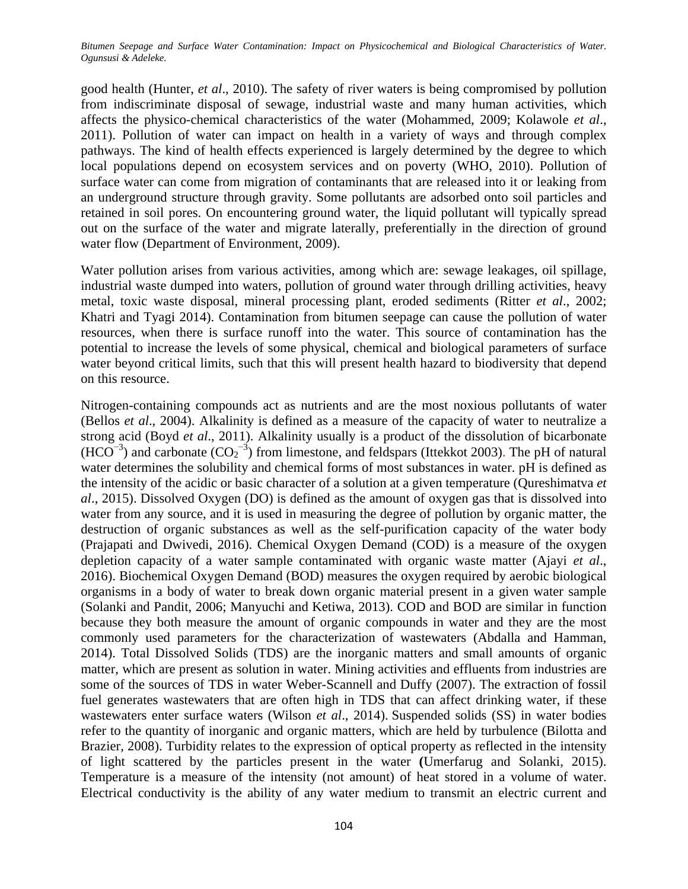good health (Hunter, *et al*., 2010). The safety of river waters is being compromised by pollution from indiscriminate disposal of sewage, industrial waste and many human activities, which affects the physico-chemical characteristics of the water (Mohammed, 2009; Kolawole *et al*., 2011). Pollution of water can impact on health in a variety of ways and through complex pathways. The kind of health effects experienced is largely determined by the degree to which local populations depend on ecosystem services and on poverty (WHO, 2010). Pollution of surface water can come from migration of contaminants that are released into it or leaking from an underground structure through gravity. Some pollutants are adsorbed onto soil particles and retained in soil pores. On encountering ground water, the liquid pollutant will typically spread out on the surface of the water and migrate laterally, preferentially in the direction of ground water flow (Department of Environment, 2009).

Water pollution arises from various activities, among which are: sewage leakages, oil spillage, industrial waste dumped into waters, pollution of ground water through drilling activities, heavy metal, toxic waste disposal, mineral processing plant, eroded sediments (Ritter *et al*., 2002; Khatri and Tyagi 2014). Contamination from bitumen seepage can cause the pollution of water resources, when there is surface runoff into the water. This source of contamination has the potential to increase the levels of some physical, chemical and biological parameters of surface water beyond critical limits, such that this will present health hazard to biodiversity that depend on this resource.

Nitrogen-containing compounds act as nutrients and are the most noxious pollutants of water (Bellos *et al*., 2004). Alkalinity is defined as a measure of the capacity of water to neutralize a strong acid (Boyd *et al*., 2011). Alkalinity usually is a product of the dissolution of bicarbonate  $(HCO^{-3})$  and carbonate  $(CO_2^{-3})$  from limestone, and feldspars (Ittekkot 2003). The pH of natural water determines the solubility and chemical forms of most substances in water. pH is defined as the intensity of the acidic or basic character of a solution at a given temperature (Qureshimatva *et al*., 2015). Dissolved Oxygen (DO) is defined as the amount of oxygen gas that is dissolved into water from any source, and it is used in measuring the degree of pollution by organic matter, the destruction of organic substances as well as the self-purification capacity of the water body (Prajapati and Dwivedi, 2016). Chemical Oxygen Demand (COD) is a measure of the oxygen depletion capacity of a water sample contaminated with organic waste matter (Ajayi *et al*., 2016). Biochemical Oxygen Demand (BOD) measures the oxygen required by aerobic biological organisms in a body of water to break down organic material present in a given water sample (Solanki and Pandit, 2006; Manyuchi and Ketiwa, 2013). COD and BOD are similar in function because they both measure the amount of organic compounds in water and they are the most commonly used parameters for the characterization of wastewaters (Abdalla and Hamman, 2014). Total Dissolved Solids (TDS) are the inorganic matters and small amounts of organic matter, which are present as solution in water. Mining activities and effluents from industries are some of the sources of TDS in water Weber-Scannell and Duffy (2007). The extraction of fossil fuel generates wastewaters that are often high in TDS that can affect drinking water, if these wastewaters enter surface waters (Wilson *et al*., 2014). Suspended solids (SS) in water bodies refer to the quantity of inorganic and organic matters, which are held by turbulence (Bilotta and Brazier, 2008). Turbidity relates to the expression of optical property as reflected in the intensity of light scattered by the particles present in the water **(**Umerfarug and Solanki, 2015). Temperature is a measure of the intensity (not amount) of heat stored in a volume of water. Electrical conductivity is the ability of any water medium to transmit an electric current and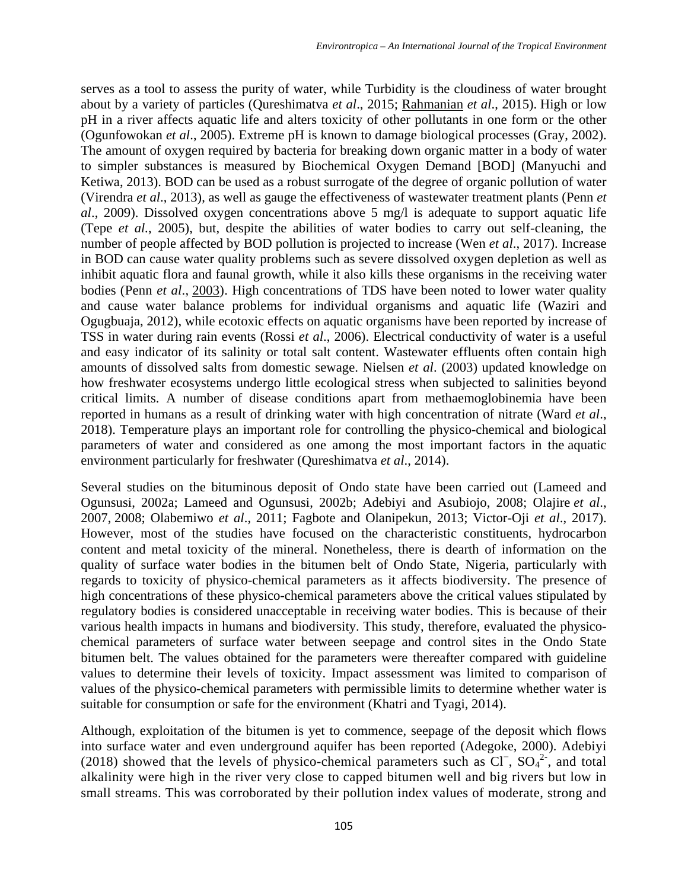serves as a tool to assess the purity of water, while Turbidity is the cloudiness of water brought about by a variety of particles (Qureshimatva *et al*., 2015; [Rahmanian](https://www.hindawi.com/64093549/) *et al*., 2015). High or low pH in a river affects aquatic life and alters toxicity of other pollutants in one form or the other (Ogunfowokan *et al*., 2005). Extreme pH is known to damage biological processes (Gray, 2002). The amount of oxygen required by bacteria for breaking down organic matter in a body of water to simpler substances is measured by Biochemical Oxygen Demand [BOD] (Manyuchi and Ketiwa, 2013). BOD can be used as a robust surrogate of the degree of organic pollution of water (Virendra *et al*., 2013), as well as gauge the effectiveness of wastewater treatment plants (Penn *et al*., 2009). Dissolved oxygen concentrations above 5 mg/l is adequate to support aquatic life (Tepe *et al.*, 2005), but, despite the abilities of water bodies to carry out self-cleaning, the number of people affected by BOD pollution is projected to increase (Wen *et al*., 2017). Increase in BOD can cause water quality problems such as severe dissolved oxygen depletion as well as inhibit aquatic flora and faunal growth, while it also kills these organisms in the receiving water bodies (Penn *et al*., [2003\)](https://link.springer.com/article/10.1007/s40899-015-0014-7#CR30). High concentrations of TDS have been noted to lower water quality and cause water balance problems for individual organisms and aquatic life (Waziri and Ogugbuaja, 2012), while ecotoxic effects on aquatic organisms have been reported by increase of TSS in water during rain events (Rossi *et al*., 2006). Electrical conductivity of water is a useful and easy indicator of its salinity or total salt content. Wastewater effluents often contain high amounts of dissolved salts from domestic sewage. Nielsen *et al*. (2003) updated knowledge on how freshwater ecosystems undergo little ecological stress when subjected to salinities beyond critical limits. A number of disease conditions apart from methaemoglobinemia have been reported in humans as a result of drinking water with high concentration of nitrate (Ward *et al*., 2018). Temperature plays an important role for controlling the physico-chemical and biological parameters of water and considered as one among the most important factors in the [aquatic](http://www.icontrolpollution.com/articles/use-of-molecular-biomarkers-in-studies-of-aquatic-environmental-impact-.php?aid=75886)  [environment](http://www.icontrolpollution.com/articles/use-of-molecular-biomarkers-in-studies-of-aquatic-environmental-impact-.php?aid=75886) particularly for freshwater (Qureshimatva *et al*., 2014).

Several studies on the bituminous deposit of Ondo state have been carried out (Lameed and Ogunsusi, 2002a; Lameed and Ogunsusi, 2002b; Adebiyi and Asubiojo, 2008; [Olajire](https://scialert.net/fulltext/?doi=rjet.2011.213.221#737375_ja) *et al*., [2007,](https://scialert.net/fulltext/?doi=rjet.2011.213.221#737375_ja) [2008;](https://scialert.net/fulltext/?doi=rjet.2011.213.221#737383_ja) Olabemiwo *et al*., 2011; Fagbote and Olanipekun, 2013; Victor-Oji *et al*., 2017). However, most of the studies have focused on the characteristic constituents, hydrocarbon content and metal toxicity of the mineral. Nonetheless, there is dearth of information on the quality of surface water bodies in the bitumen belt of Ondo State, Nigeria, particularly with regards to toxicity of physico-chemical parameters as it affects biodiversity. The presence of high concentrations of these physico-chemical parameters above the critical values stipulated by regulatory bodies is considered unacceptable in receiving water bodies. This is because of their various health impacts in humans and biodiversity. This study, therefore, evaluated the physicochemical parameters of surface water between seepage and control sites in the Ondo State bitumen belt. The values obtained for the parameters were thereafter compared with guideline values to determine their levels of toxicity. Impact assessment was limited to comparison of values of the physico-chemical parameters with permissible limits to determine whether water is suitable for consumption or safe for the environment (Khatri and Tyagi, 2014).

Although, exploitation of the bitumen is yet to commence, seepage of the deposit which flows into surface water and even underground aquifer has been reported [\(Adegoke, 2000\)](https://scialert.net/fulltext/?doi=rjet.2011.213.221#26157_con). Adebiyi (2018) showed that the levels of physico-chemical parameters such as  $CI^-$ ,  $SO_4^2$ , and total alkalinity were high in the river very close to capped bitumen well and big rivers but low in small streams. This was corroborated by their pollution index values of moderate, strong and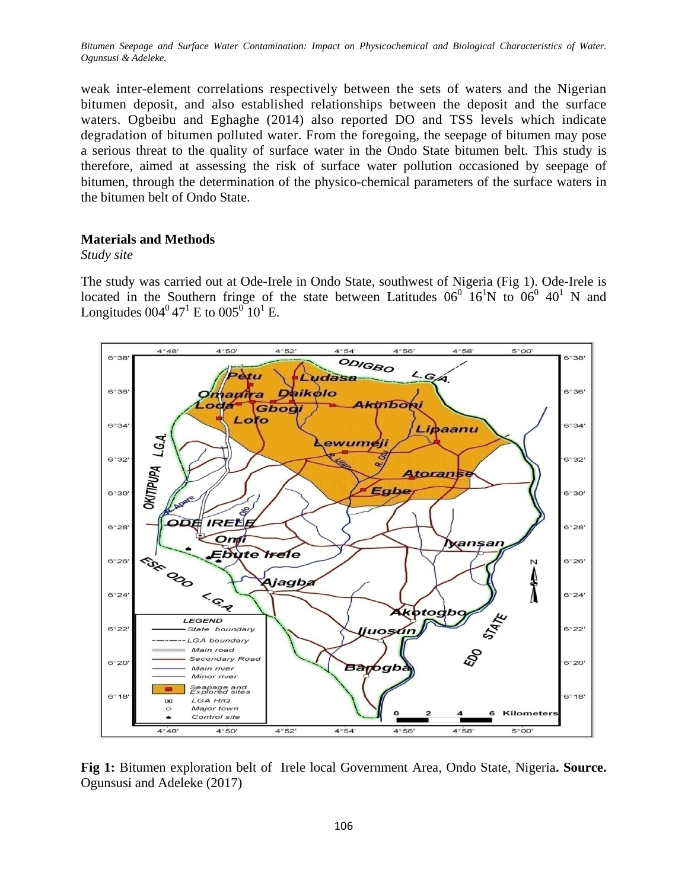weak inter-element correlations respectively between the sets of waters and the Nigerian bitumen deposit, and also established relationships between the deposit and the surface waters. Ogbeibu and Eghaghe (2014) also reported DO and TSS levels which indicate degradation of bitumen polluted water. From the foregoing, the seepage of bitumen may pose a serious threat to the quality of surface water in the Ondo State bitumen belt. This study is therefore, aimed at assessing the risk of surface water pollution occasioned by seepage of bitumen, through the determination of the physico-chemical parameters of the surface waters in the bitumen belt of Ondo State.

## **Materials and Methods**

### *Study site*

The study was carried out at Ode-Irele in Ondo State, southwest of Nigeria (Fig 1). Ode-Irele is located in the Southern fringe of the state between Latitudes  $06^{\circ}$   $16^{\prime}N$  to  $06^{\circ}$   $40^{\prime}$  N and Longitudes  $004^{\circ}47^{\circ}$  E to  $005^{\circ}10^{\circ}$  E.



**Fig 1:** Bitumen exploration belt of Irele local Government Area, Ondo State, Nigeria**. Source.** Ogunsusi and Adeleke (2017)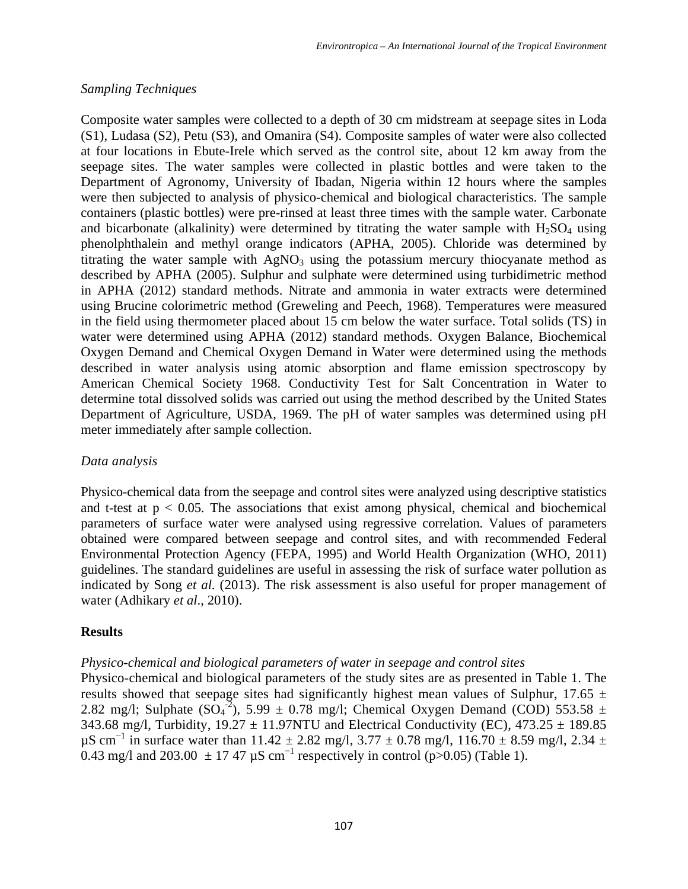## *Sampling Techniques*

Composite water samples were collected to a depth of 30 cm midstream at seepage sites in Loda (S1), Ludasa (S2), Petu (S3), and Omanira (S4). Composite samples of water were also collected at four locations in Ebute-Irele which served as the control site, about 12 km away from the seepage sites. The water samples were collected in plastic bottles and were taken to the Department of Agronomy, University of Ibadan, Nigeria within 12 hours where the samples were then subjected to analysis of physico-chemical and biological characteristics. The sample containers (plastic bottles) were pre-rinsed at least three times with the sample water. Carbonate and bicarbonate (alkalinity) were determined by titrating the water sample with  $H<sub>2</sub>SO<sub>4</sub>$  using phenolphthalein and methyl orange indicators (APHA, 2005). Chloride was determined by titrating the water sample with  $AgNO<sub>3</sub>$  using the potassium mercury thiocyanate method as described by APHA (2005). Sulphur and sulphate were determined using turbidimetric method in APHA (2012) standard methods. Nitrate and ammonia in water extracts were determined using Brucine colorimetric method (Greweling and Peech, 1968). Temperatures were measured in the field using thermometer placed about 15 cm below the water surface. Total solids (TS) in water were determined using APHA (2012) standard methods. Oxygen Balance, Biochemical Oxygen Demand and Chemical Oxygen Demand in Water were determined using the methods described in water analysis using atomic absorption and flame emission spectroscopy by American Chemical Society 1968. Conductivity Test for Salt Concentration in Water to determine total dissolved solids was carried out using the method described by the United States Department of Agriculture, USDA, 1969. The pH of water samples was determined using pH meter immediately after sample collection.

## *Data analysis*

Physico-chemical data from the seepage and control sites were analyzed using descriptive statistics and t-test at  $p < 0.05$ . The associations that exist among physical, chemical and biochemical parameters of surface water were analysed using regressive correlation. Values of parameters obtained were compared between seepage and control sites, and with recommended Federal Environmental Protection Agency (FEPA, 1995) and World Health Organization (WHO, 2011) guidelines. The standard guidelines are useful in assessing the risk of surface water pollution as indicated by Song *et al.* (2013). The risk assessment is also useful for proper management of water (Adhikary *et al*., 2010).

# **Results**

# *Physico-chemical and biological parameters of water in seepage and control sites*

Physico-chemical and biological parameters of the study sites are as presented in Table 1. The results showed that seepage sites had significantly highest mean values of Sulphur, 17.65  $\pm$ 2.82 mg/l; Sulphate  $(SO<sub>4</sub><sup>-2</sup>)$ , 5.99  $\pm$  0.78 mg/l; Chemical Oxygen Demand (COD) 553.58  $\pm$ 343.68 mg/l, Turbidity,  $19.27 \pm 11.97$ NTU and Electrical Conductivity (EC),  $473.25 \pm 189.85$ µS cm<sup>-1</sup> in surface water than 11.42 ± 2.82 mg/l, 3.77 ± 0.78 mg/l, 116.70 ± 8.59 mg/l, 2.34 ± 0.43 mg/l and 203.00  $\pm$  17.47  $\mu$ S cm<sup>-1</sup> respectively in control (p>0.05) (Table 1).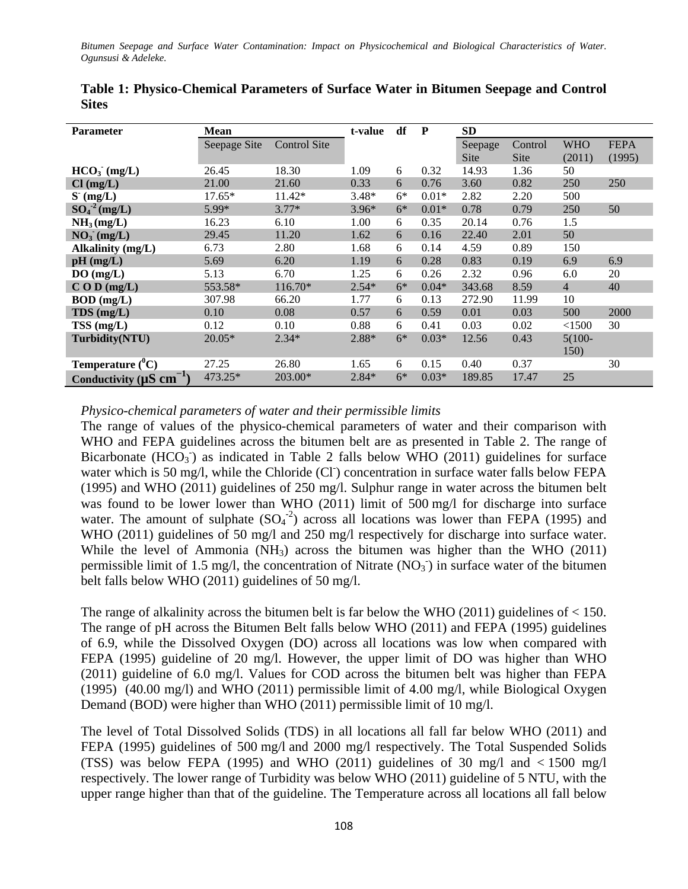| <b>Parameter</b>                          | <b>Mean</b>  | t-value             | df      | P    | SD      |         |             |                |             |  |
|-------------------------------------------|--------------|---------------------|---------|------|---------|---------|-------------|----------------|-------------|--|
|                                           | Seepage Site | <b>Control Site</b> |         |      |         | Seepage | Control     | <b>WHO</b>     | <b>FEPA</b> |  |
|                                           |              |                     |         |      |         | Site    | <b>Site</b> | (2011)         | (1995)      |  |
| $HCO3$ (mg/L)                             | 26.45        | 18.30               | 1.09    | 6    | 0.32    | 14.93   | 1.36        | 50             |             |  |
| $Cl$ (mg/L)                               | 21.00        | 21.60               | 0.33    | 6    | 0.76    | 3.60    | 0.82        | 250            | 250         |  |
| $S$ (mg/L)                                | $17.65*$     | 11.42*              | $3.48*$ | $6*$ | $0.01*$ | 2.82    | 2.20        | 500            |             |  |
| $SO_4^2$ (mg/L)                           | 5.99*        | $3.77*$             | $3.96*$ | $6*$ | $0.01*$ | 0.78    | 0.79        | 250            | 50          |  |
| NH <sub>3</sub> (mg/L)                    | 16.23        | 6.10                | 1.00    | 6    | 0.35    | 20.14   | 0.76        | 1.5            |             |  |
| $NO3$ (mg/L)                              | 29.45        | 11.20               | 1.62    | 6    | 0.16    | 22.40   | 2.01        | 50             |             |  |
| Alkalinity (mg/L)                         | 6.73         | 2.80                | 1.68    | 6    | 0.14    | 4.59    | 0.89        | 150            |             |  |
| $pH$ (mg/L)                               | 5.69         | 6.20                | 1.19    | 6    | 0.28    | 0.83    | 0.19        | 6.9            | 6.9         |  |
| DO(mg/L)                                  | 5.13         | 6.70                | 1.25    | 6    | 0.26    | 2.32    | 0.96        | 6.0            | 20          |  |
| $C$ O D (mg/L)                            | 553.58*      | 116.70*             | $2.54*$ | $6*$ | $0.04*$ | 343.68  | 8.59        | $\overline{4}$ | 40          |  |
| $BOD$ (mg/L)                              | 307.98       | 66.20               | 1.77    | 6    | 0.13    | 272.90  | 11.99       | 10             |             |  |
| $TDS$ (mg/L)                              | 0.10         | 0.08                | 0.57    | 6    | 0.59    | 0.01    | 0.03        | 500            | 2000        |  |
| TSS (mg/L)                                | 0.12         | 0.10                | 0.88    | 6    | 0.41    | 0.03    | 0.02        | <1500          | 30          |  |
| Turbidity(NTU)                            | $20.05*$     | $2.34*$             | 2.88*   | $6*$ | $0.03*$ | 12.56   | 0.43        | $5(100 -$      |             |  |
|                                           |              |                     |         |      |         |         |             | 150)           |             |  |
| <b>Temperature</b> $(^0C)$                | 27.25        | 26.80               | 1.65    | 6    | 0.15    | 0.40    | 0.37        |                | 30          |  |
| Conductivity ( $\mu$ S cm <sup>-1</sup> ) | 473.25*      | 203.00*             | $2.84*$ | $6*$ | $0.03*$ | 189.85  | 17.47       | 25             |             |  |

**Table 1: Physico-Chemical Parameters of Surface Water in Bitumen Seepage and Control Sites**

*Physico-chemical parameters of water and their permissible limits*

The range of values of the physico-chemical parameters of water and their comparison with WHO and FEPA guidelines across the bitumen belt are as presented in Table 2. The range of Bicarbonate ( $HCO<sub>3</sub>$ ) as indicated in Table 2 falls below WHO (2011) guidelines for surface water which is 50 mg/l, while the Chloride (CI) concentration in surface water falls below FEPA (1995) and WHO (2011) guidelines of 250 mg/l. Sulphur range in water across the bitumen belt was found to be lower lower than WHO (2011) limit of 500 mg/l for discharge into surface water. The amount of sulphate  $(SO<sub>4</sub><sup>-2</sup>)$  across all locations was lower than FEPA (1995) and WHO (2011) guidelines of 50 mg/l and 250 mg/l respectively for discharge into surface water. While the level of Ammonia (NH3) across the bitumen was higher than the WHO (2011) permissible limit of 1.5 mg/l, the concentration of Nitrate  $(NO<sub>3</sub>)$  in surface water of the bitumen belt falls below WHO (2011) guidelines of 50 mg/l.

The range of alkalinity across the bitumen belt is far below the WHO  $(2011)$  guidelines of  $< 150$ . The range of pH across the Bitumen Belt falls below WHO (2011) and FEPA (1995) guidelines of 6.9, while the Dissolved Oxygen (DO) across all locations was low when compared with FEPA (1995) guideline of 20 mg/l. However, the upper limit of DO was higher than WHO (2011) guideline of 6.0 mg/l. Values for COD across the bitumen belt was higher than FEPA (1995) (40.00 mg/l) and WHO (2011) permissible limit of 4.00 mg/l, while Biological Oxygen Demand (BOD) were higher than WHO (2011) permissible limit of 10 mg/l.

The level of Total Dissolved Solids (TDS) in all locations all fall far below WHO (2011) and FEPA (1995) guidelines of 500 mg/l and 2000 mg/l respectively. The Total Suspended Solids (TSS) was below FEPA (1995) and WHO (2011) guidelines of 30 mg/l and  $\lt 1500$  mg/l respectively. The lower range of Turbidity was below WHO (2011) guideline of 5 NTU, with the upper range higher than that of the guideline. The Temperature across all locations all fall below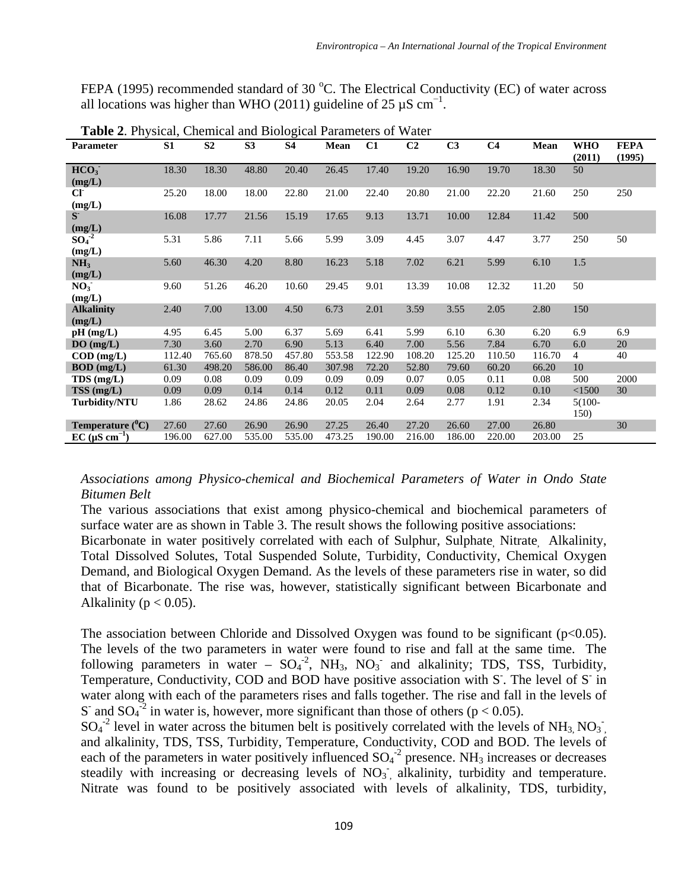FEPA (1995) recommended standard of 30 °C. The Electrical Conductivity (EC) of water across all locations was higher than WHO (2011) guideline of 25  $\mu$ S cm<sup>-1</sup>.

| <b>Parameter</b>                      | S1     | S <sub>2</sub> | S <sub>3</sub> | <b>S4</b> | Mean   | C1     | C <sub>2</sub> | C <sub>3</sub> | C <sub>4</sub> | Mean   | WHO<br>(2011)     | <b>FEPA</b><br>(1995) |
|---------------------------------------|--------|----------------|----------------|-----------|--------|--------|----------------|----------------|----------------|--------|-------------------|-----------------------|
| HCO <sub>3</sub><br>(mg/L)            | 18.30  | 18.30          | 48.80          | 20.40     | 26.45  | 17.40  | 19.20          | 16.90          | 19.70          | 18.30  | 50                |                       |
| $\mathbf{C}\mathbf{\Gamma}$<br>(mg/L) | 25.20  | 18.00          | 18.00          | 22.80     | 21.00  | 22.40  | 20.80          | 21.00          | 22.20          | 21.60  | 250               | 250                   |
| $S^{\dagger}$<br>(mg/L)               | 16.08  | 17.77          | 21.56          | 15.19     | 17.65  | 9.13   | 13.71          | 10.00          | 12.84          | 11.42  | 500               |                       |
| $SO_4^{-2}$<br>(mg/L)                 | 5.31   | 5.86           | 7.11           | 5.66      | 5.99   | 3.09   | 4.45           | 3.07           | 4.47           | 3.77   | 250               | 50                    |
| NH <sub>3</sub><br>(mg/L)             | 5.60   | 46.30          | 4.20           | 8.80      | 16.23  | 5.18   | 7.02           | 6.21           | 5.99           | 6.10   | 1.5               |                       |
| NO <sub>3</sub><br>(mg/L)             | 9.60   | 51.26          | 46.20          | 10.60     | 29.45  | 9.01   | 13.39          | 10.08          | 12.32          | 11.20  | 50                |                       |
| <b>Alkalinity</b><br>(mg/L)           | 2.40   | 7.00           | 13.00          | 4.50      | 6.73   | 2.01   | 3.59           | 3.55           | 2.05           | 2.80   | 150               |                       |
| $pH$ (mg/L)                           | 4.95   | 6.45           | 5.00           | 6.37      | 5.69   | 6.41   | 5.99           | 6.10           | 6.30           | 6.20   | 6.9               | 6.9                   |
| $DO$ (mg/L)                           | 7.30   | 3.60           | 2.70           | 6.90      | 5.13   | 6.40   | 7.00           | 5.56           | 7.84           | 6.70   | 6.0               | 20                    |
| $\text{COD}$ (mg/L)                   | 112.40 | 765.60         | 878.50         | 457.80    | 553.58 | 122.90 | 108.20         | 125.20         | 110.50         | 116.70 | $\overline{4}$    | 40                    |
| $BOD$ (mg/L)                          | 61.30  | 498.20         | 586.00         | 86.40     | 307.98 | 72.20  | 52.80          | 79.60          | 60.20          | 66.20  | 10                |                       |
| TDS (mg/L)                            | 0.09   | 0.08           | 0.09           | 0.09      | 0.09   | 0.09   | 0.07           | 0.05           | 0.11           | 0.08   | 500               | 2000                  |
| TSS(mg/L)                             | 0.09   | 0.09           | 0.14           | 0.14      | 0.12   | 0.11   | 0.09           | 0.08           | 0.12           | 0.10   | < 1500            | 30                    |
| <b>Turbidity/NTU</b>                  | 1.86   | 28.62          | 24.86          | 24.86     | 20.05  | 2.04   | 2.64           | 2.77           | 1.91           | 2.34   | $5(100 -$<br>150) |                       |
| Temperature $(^0C)$                   | 27.60  | 27.60          | 26.90          | 26.90     | 27.25  | 26.40  | 27.20          | 26.60          | 27.00          | 26.80  |                   | 30                    |
| $EC$ ( $\mu$ S cm <sup>-1</sup> )     | 196.00 | 627.00         | 535.00         | 535.00    | 473.25 | 190.00 | 216.00         | 186.00         | 220.00         | 203.00 | 25                |                       |

**Table 2**. Physical, Chemical and Biological Parameters of Water

*Associations among Physico-chemical and Biochemical Parameters of Water in Ondo State Bitumen Belt*

The various associations that exist among physico-chemical and biochemical parameters of surface water are as shown in Table 3. The result shows the following positive associations: Bicarbonate in water positively correlated with each of Sulphur, Sulphate, Nitrate, Alkalinity, Total Dissolved Solutes, Total Suspended Solute, Turbidity, Conductivity, Chemical Oxygen Demand, and Biological Oxygen Demand. As the levels of these parameters rise in water, so did that of Bicarbonate. The rise was, however, statistically significant between Bicarbonate and Alkalinity ( $p < 0.05$ ).

The association between Chloride and Dissolved Oxygen was found to be significant  $(p<0.05)$ . The levels of the two parameters in water were found to rise and fall at the same time. The following parameters in water –  $SO_4^2$ , NH<sub>3</sub>, NO<sub>3</sub><sup>-</sup> and alkalinity; TDS, TSS, Turbidity, Temperature, Conductivity, COD and BOD have positive association with S. The level of S in water along with each of the parameters rises and falls together. The rise and fall in the levels of S and SO<sub>4</sub><sup>-2</sup> in water is, however, more significant than those of others ( $p < 0.05$ ).

 $SO_4^{-2}$  level in water across the bitumen belt is positively correlated with the levels of NH<sub>3</sub>, NO<sub>3</sub><sup>-</sup>, and alkalinity, TDS, TSS, Turbidity, Temperature, Conductivity, COD and BOD. The levels of each of the parameters in water positively influenced  $SO_4^2$  presence. NH<sub>3</sub> increases or decreases steadily with increasing or decreasing levels of  $NO<sub>3</sub>$ , alkalinity, turbidity and temperature. Nitrate was found to be positively associated with levels of alkalinity, TDS, turbidity,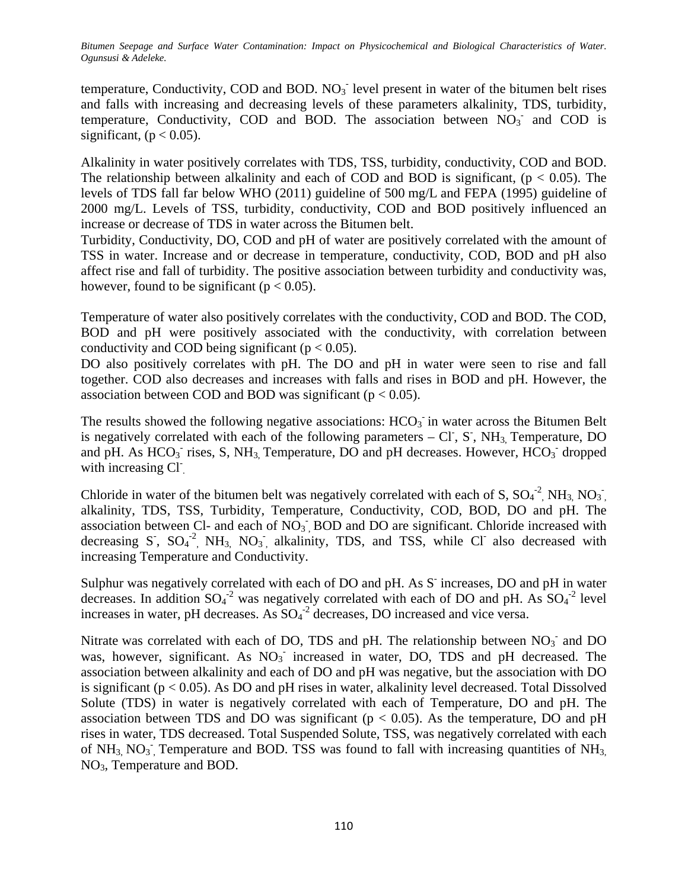temperature, Conductivity, COD and BOD.  $NO<sub>3</sub>$  level present in water of the bitumen belt rises and falls with increasing and decreasing levels of these parameters alkalinity, TDS, turbidity, temperature, Conductivity, COD and BOD. The association between  $NO<sub>3</sub>$  and COD is significant,  $(p < 0.05)$ .

Alkalinity in water positively correlates with TDS, TSS, turbidity, conductivity, COD and BOD. The relationship between alkalinity and each of COD and BOD is significant,  $(p < 0.05)$ . The levels of TDS fall far below WHO (2011) guideline of 500 mg/L and FEPA (1995) guideline of 2000 mg/L. Levels of TSS, turbidity, conductivity, COD and BOD positively influenced an increase or decrease of TDS in water across the Bitumen belt.

Turbidity, Conductivity, DO, COD and pH of water are positively correlated with the amount of TSS in water. Increase and or decrease in temperature, conductivity, COD, BOD and pH also affect rise and fall of turbidity. The positive association between turbidity and conductivity was, however, found to be significant ( $p < 0.05$ ).

Temperature of water also positively correlates with the conductivity, COD and BOD. The COD, BOD and pH were positively associated with the conductivity, with correlation between conductivity and COD being significant ( $p < 0.05$ ).

DO also positively correlates with pH. The DO and pH in water were seen to rise and fall together. COD also decreases and increases with falls and rises in BOD and pH. However, the association between COD and BOD was significant ( $p < 0.05$ ).

The results showed the following negative associations:  $HCO<sub>3</sub>$  in water across the Bitumen Belt is negatively correlated with each of the following parameters  $-CI$ , S, NH<sub>3,</sub> Temperature, DO and pH. As  $HCO_3^-$  rises, S, NH<sub>3</sub>, Temperature, DO and pH decreases. However,  $HCO_3^-$  dropped with increasing Cl

Chloride in water of the bitumen belt was negatively correlated with each of S,  $SO_4^{-2}$ , NH<sub>3,</sub> NO<sub>3</sub><sup>-</sup>, alkalinity, TDS, TSS, Turbidity, Temperature, Conductivity, COD, BOD, DO and pH. The association between Cl- and each of  $NO<sub>3</sub>$ , BOD and DO are significant. Chloride increased with decreasing S,  $SO_4^{-2}$ , NH<sub>3,</sub> NO<sub>3</sub>, alkalinity, TDS, and TSS, while Cl also decreased with increasing Temperature and Conductivity.

Sulphur was negatively correlated with each of DO and pH. As S<sup>-</sup> increases, DO and pH in water decreases. In addition  $SO_4^2$  was negatively correlated with each of DO and pH. As  $SO_4^2$  level increases in water, pH decreases. As  $SO_4^2$  decreases, DO increased and vice versa.

Nitrate was correlated with each of DO, TDS and pH. The relationship between  $NO<sub>3</sub>$  and DO was, however, significant. As  $NO<sub>3</sub>$  increased in water, DO, TDS and pH decreased. The association between alkalinity and each of DO and pH was negative, but the association with DO is significant ( $p < 0.05$ ). As DO and  $pH$  rises in water, alkalinity level decreased. Total Dissolved Solute (TDS) in water is negatively correlated with each of Temperature, DO and pH. The association between TDS and DO was significant ( $p < 0.05$ ). As the temperature, DO and  $pH$ rises in water, TDS decreased. Total Suspended Solute, TSS, was negatively correlated with each of NH<sub>3,</sub> NO<sub>3</sub><sup>-</sup>, Temperature and BOD. TSS was found to fall with increasing quantities of NH<sub>3</sub>, NO3, Temperature and BOD.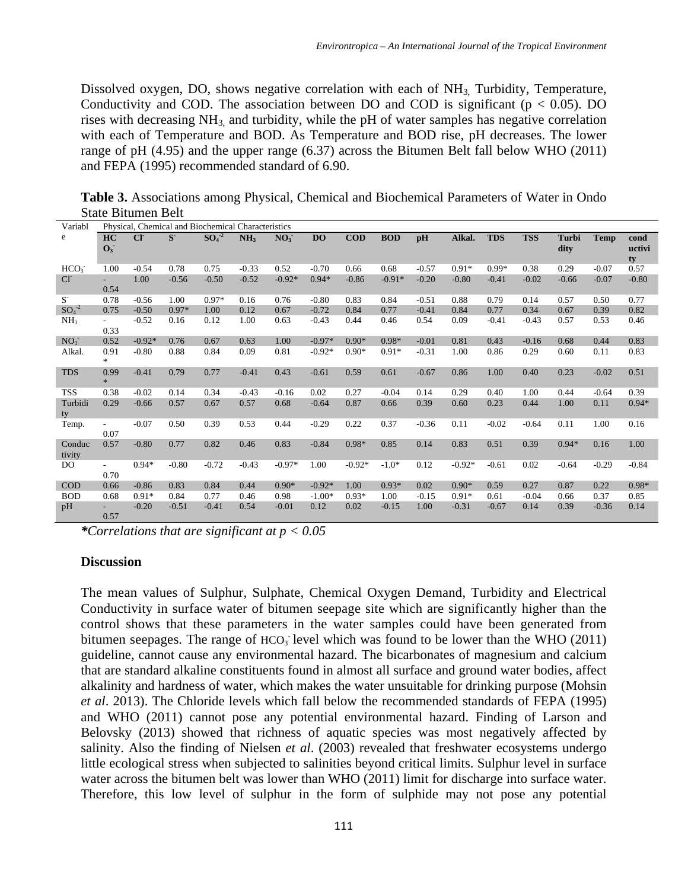Dissolved oxygen, DO, shows negative correlation with each of NH<sub>3,</sub> Turbidity, Temperature, Conductivity and COD. The association between DO and COD is significant ( $p < 0.05$ ). DO rises with decreasing  $NH_3$  and turbidity, while the pH of water samples has negative correlation with each of Temperature and BOD. As Temperature and BOD rise, pH decreases. The lower range of pH (4.95) and the upper range (6.37) across the Bitumen Belt fall below WHO (2011) and FEPA (1995) recommended standard of 6.90.

**Table 3.** Associations among Physical, Chemical and Biochemical Parameters of Water in Ondo State Bitumen Belt

| Variabl            | Physical, Chemical and Biochemical Characteristics |          |             |         |                 |                 |           |           |            |         |          |            |            |                      |             |                      |
|--------------------|----------------------------------------------------|----------|-------------|---------|-----------------|-----------------|-----------|-----------|------------|---------|----------|------------|------------|----------------------|-------------|----------------------|
| e                  | HC<br>$\mathbf{O}_3$                               | CI       | $S^{\cdot}$ | $SO4-2$ | NH <sub>3</sub> | NO <sub>3</sub> | <b>DO</b> | $\bf COD$ | <b>BOD</b> | pH      | Alkal.   | <b>TDS</b> | <b>TSS</b> | <b>Turbi</b><br>dity | <b>Temp</b> | cond<br>uctivi<br>ty |
| HCO <sub>3</sub>   | 1.00                                               | $-0.54$  | 0.78        | 0.75    | $-0.33$         | 0.52            | $-0.70$   | 0.66      | 0.68       | $-0.57$ | $0.91*$  | $0.99*$    | 0.38       | 0.29                 | $-0.07$     | 0.57                 |
| $Cl^{\dagger}$     | $\sim$<br>0.54                                     | 1.00     | $-0.56$     | $-0.50$ | $-0.52$         | $-0.92*$        | $0.94*$   | $-0.86$   | $-0.91*$   | $-0.20$ | $-0.80$  | $-0.41$    | $-0.02$    | $-0.66$              | $-0.07$     | $-0.80$              |
| $S-$               | 0.78                                               | $-0.56$  | 1.00        | $0.97*$ | 0.16            | 0.76            | $-0.80$   | 0.83      | 0.84       | $-0.51$ | 0.88     | 0.79       | 0.14       | 0.57                 | 0.50        | 0.77                 |
| $SO_4^{\text{-2}}$ | 0.75                                               | $-0.50$  | $0.97*$     | 1.00    | 0.12            | 0.67            | $-0.72$   | 0.84      | 0.77       | $-0.41$ | 0.84     | 0.77       | 0.34       | 0.67                 | 0.39        | 0.82                 |
| NH <sub>3</sub>    | $\sim$<br>0.33                                     | $-0.52$  | 0.16        | 0.12    | 1.00            | 0.63            | $-0.43$   | 0.44      | 0.46       | 0.54    | 0.09     | $-0.41$    | $-0.43$    | 0.57                 | 0.53        | 0.46                 |
| NO <sub>3</sub>    | 0.52                                               | $-0.92*$ | 0.76        | 0.67    | 0.63            | 1.00            | $-0.97*$  | $0.90*$   | $0.98*$    | $-0.01$ | 0.81     | 0.43       | $-0.16$    | 0.68                 | 0.44        | 0.83                 |
| Alkal.             | 0.91<br>$\frac{1}{2}$                              | $-0.80$  | 0.88        | 0.84    | 0.09            | 0.81            | $-0.92*$  | $0.90*$   | $0.91*$    | $-0.31$ | 1.00     | 0.86       | 0.29       | 0.60                 | 0.11        | 0.83                 |
| <b>TDS</b>         | 0.99<br>$\ast$                                     | $-0.41$  | 0.79        | 0.77    | $-0.41$         | 0.43            | $-0.61$   | 0.59      | 0.61       | $-0.67$ | 0.86     | 1.00       | 0.40       | 0.23                 | $-0.02$     | 0.51                 |
| <b>TSS</b>         | 0.38                                               | $-0.02$  | 0.14        | 0.34    | $-0.43$         | $-0.16$         | 0.02      | 0.27      | $-0.04$    | 0.14    | 0.29     | 0.40       | 1.00       | 0.44                 | $-0.64$     | 0.39                 |
| Turbidi<br>ty      | 0.29                                               | $-0.66$  | 0.57        | 0.67    | 0.57            | 0.68            | $-0.64$   | 0.87      | 0.66       | 0.39    | 0.60     | 0.23       | 0.44       | 1.00                 | 0.11        | $0.94*$              |
| Temp.              | $\overline{\phantom{a}}$<br>0.07                   | $-0.07$  | 0.50        | 0.39    | 0.53            | 0.44            | $-0.29$   | 0.22      | 0.37       | $-0.36$ | 0.11     | $-0.02$    | $-0.64$    | 0.11                 | 1.00        | 0.16                 |
| Conduc<br>tivity   | 0.57                                               | $-0.80$  | 0.77        | 0.82    | 0.46            | 0.83            | $-0.84$   | $0.98*$   | 0.85       | 0.14    | 0.83     | 0.51       | 0.39       | $0.94*$              | 0.16        | 1.00                 |
| D <sub>O</sub>     | $\sim$<br>0.70                                     | $0.94*$  | $-0.80$     | $-0.72$ | $-0.43$         | $-0.97*$        | 1.00      | $-0.92*$  | $-1.0*$    | 0.12    | $-0.92*$ | $-0.61$    | 0.02       | $-0.64$              | $-0.29$     | $-0.84$              |
| <b>COD</b>         | 0.66                                               | $-0.86$  | 0.83        | 0.84    | 0.44            | $0.90*$         | $-0.92*$  | 1.00      | $0.93*$    | 0.02    | $0.90*$  | 0.59       | 0.27       | 0.87                 | 0.22        | $0.98*$              |
| <b>BOD</b>         | 0.68                                               | $0.91*$  | 0.84        | 0.77    | 0.46            | 0.98            | $-1.00*$  | $0.93*$   | 1.00       | $-0.15$ | $0.91*$  | 0.61       | $-0.04$    | 0.66                 | 0.37        | 0.85                 |
| pH                 | 0.57                                               | $-0.20$  | $-0.51$     | $-0.41$ | 0.54            | $-0.01$         | 0.12      | 0.02      | $-0.15$    | 1.00    | $-0.31$  | $-0.67$    | 0.14       | 0.39                 | $-0.36$     | 0.14                 |

*\*Correlations that are significant at p < 0.05*

#### **Discussion**

The mean values of Sulphur, Sulphate, Chemical Oxygen Demand, Turbidity and Electrical Conductivity in surface water of bitumen seepage site which are significantly higher than the control shows that these parameters in the water samples could have been generated from bitumen seepages. The range of  $HCO<sub>3</sub>$  level which was found to be lower than the WHO (2011) guideline, cannot cause any environmental hazard. The bicarbonates of magnesium and calcium that are standard alkaline constituents found in almost all surface and ground water bodies, affect alkalinity and hardness of water, which makes the water unsuitable for drinking purpose (Mohsin *et al*. 2013). The Chloride levels which fall below the recommended standards of FEPA (1995) and WHO (2011) cannot pose any potential environmental hazard. Finding of Larson and Belovsky (2013) showed that richness of aquatic species was most negatively affected by salinity. Also the finding of Nielsen *et al*. (2003) revealed that freshwater ecosystems undergo little ecological stress when subjected to salinities beyond critical limits. Sulphur level in surface water across the bitumen belt was lower than WHO (2011) limit for discharge into surface water. Therefore, this low level of sulphur in the form of sulphide may not pose any potential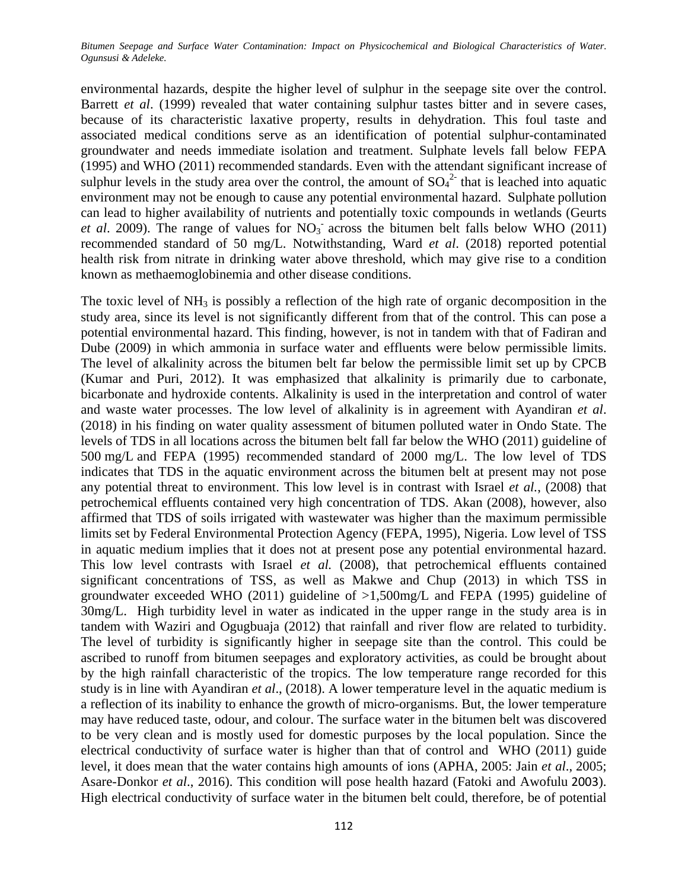environmental hazards, despite the higher level of sulphur in the seepage site over the control. Barrett *et al*. (1999) revealed that water containing sulphur tastes bitter and in severe cases, because of its characteristic laxative property, results in dehydration. This foul taste and associated medical conditions serve as an identification of potential sulphur-contaminated groundwater and needs immediate isolation and treatment. Sulphate levels fall below FEPA (1995) and WHO (2011) recommended standards. Even with the attendant significant increase of sulphur levels in the study area over the control, the amount of  $SO_4^2$  that is leached into aquatic environment may not be enough to cause any potential environmental hazard. Sulphate pollution can lead to higher availability of nutrients and potentially toxic compounds in wetlands (Geurts *et al.* 2009). The range of values for  $NO<sub>3</sub>$  across the bitumen belt falls below WHO (2011) recommended standard of 50 mg/L. Notwithstanding, Ward *et al*. (2018) reported potential health risk from nitrate in drinking water above threshold, which may give rise to a condition known as methaemoglobinemia and other disease conditions.

The toxic level of  $NH_3$  is possibly a reflection of the high rate of organic decomposition in the study area, since its level is not significantly different from that of the control. This can pose a potential environmental hazard. This finding, however, is not in tandem with that of Fadiran and Dube (2009) in which ammonia in surface water and effluents were below permissible limits. The level of alkalinity across the bitumen belt far below the permissible limit set up by CPCB (Kumar and Puri, 2012). It was emphasized that alkalinity is primarily due to carbonate, bicarbonate and hydroxide contents. Alkalinity is used in the interpretation and control of water and waste water processes. The low level of alkalinity is in agreement with Ayandiran *et al*. (2018) in his finding on water quality assessment of bitumen polluted water in Ondo State. The levels of TDS in all locations across the bitumen belt fall far below the WHO (2011) guideline of 500 mg/L and FEPA (1995) recommended standard of 2000 mg/L. The low level of TDS indicates that TDS in the aquatic environment across the bitumen belt at present may not pose any potential threat to environment. This low level is in contrast with Israel *et al.*, (2008) that petrochemical effluents contained very high concentration of TDS. Akan (2008), however, also affirmed that TDS of soils irrigated with wastewater was higher than the maximum permissible limits set by Federal Environmental Protection Agency (FEPA, 1995), Nigeria. Low level of TSS in aquatic medium implies that it does not at present pose any potential environmental hazard. This low level contrasts with Israel *et al.* (2008), that petrochemical effluents contained significant concentrations of TSS, as well as Makwe and Chup (2013) in which TSS in groundwater exceeded WHO (2011) guideline of >1,500mg/L and FEPA (1995) guideline of 30mg/L. High turbidity level in water as indicated in the upper range in the study area is in tandem with Waziri and Ogugbuaja (2012) that rainfall and river flow are related to turbidity. The level of turbidity is significantly higher in seepage site than the control. This could be ascribed to runoff from bitumen seepages and exploratory activities, as could be brought about by the high rainfall characteristic of the tropics. The low temperature range recorded for this study is in line with Ayandiran *et al*., (2018). A lower temperature level in the aquatic medium is a reflection of its inability to enhance the growth of micro-organisms. But, the lower temperature may have reduced taste, odour, and colour. The surface water in the bitumen belt was discovered to be very clean and is mostly used for domestic purposes by the local population. Since the electrical conductivity of surface water is higher than that of control and WHO (2011) guide level, it does mean that the water contains high amounts of ions (APHA, [2005:](https://www.ncbi.nlm.nih.gov/pmc/articles/PMC5069212/#CR2) Jain *et al*., [2005;](https://www.ncbi.nlm.nih.gov/pmc/articles/PMC5069212/#CR15) Asare-Donkor *et al*., 2016). This condition will pose health hazard (Fatoki and Awofulu [2003](https://www.ncbi.nlm.nih.gov/pmc/articles/PMC5069212/#CR11)). High electrical conductivity of surface water in the bitumen belt could, therefore, be of potential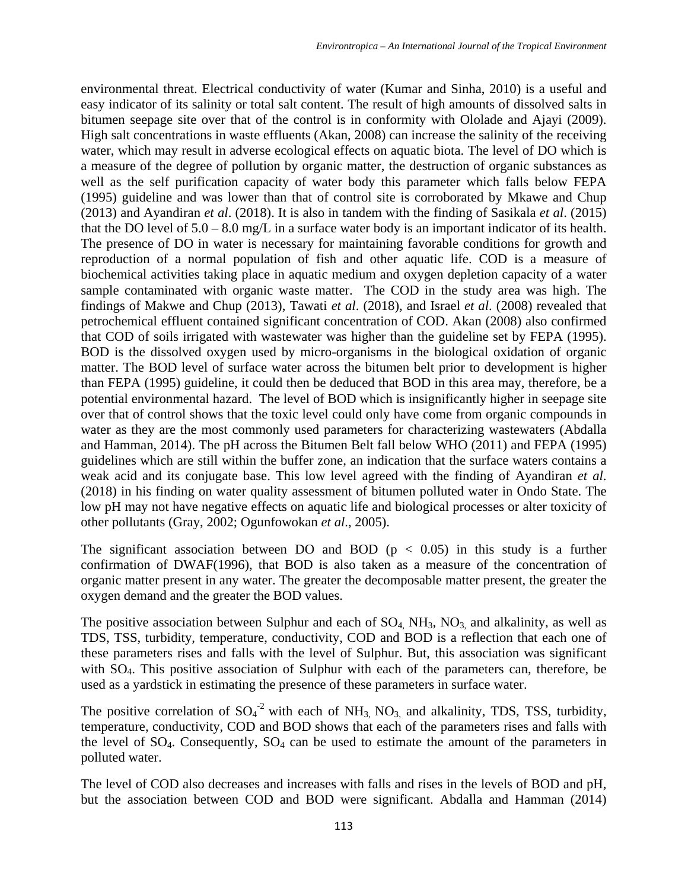environmental threat. Electrical conductivity of water (Kumar and Sinha, 2010) is a useful and easy indicator of its salinity or total salt content. The result of high amounts of dissolved salts in bitumen seepage site over that of the control is in conformity with Ololade and Ajayi (2009). High salt concentrations in waste effluents (Akan, 2008) can increase the salinity of the receiving water, which may result in adverse ecological effects on aquatic biota. The level of DO which is a measure of the degree of pollution by organic matter, the destruction of organic substances as well as the self purification capacity of water body this parameter which falls below FEPA (1995) guideline and was lower than that of control site is corroborated by Mkawe and Chup (2013) and Ayandiran *et al*. (2018). It is also in tandem with the finding of Sasikala *et al*. (2015) that the DO level of  $5.0 - 8.0$  mg/L in a surface water body is an important indicator of its health. The presence of DO in water is necessary for maintaining favorable conditions for growth and reproduction of a normal population of fish and other aquatic life. COD is a measure of biochemical activities taking place in aquatic medium and oxygen depletion capacity of a water sample contaminated with organic waste matter. The COD in the study area was high. The findings of Makwe and Chup (2013), Tawati *et al*. (2018), and Israel *et al*. (2008) revealed that petrochemical effluent contained significant concentration of COD. Akan (2008) also confirmed that COD of soils irrigated with wastewater was higher than the guideline set by FEPA (1995). BOD is the dissolved oxygen used by micro-organisms in the biological oxidation of organic matter. The BOD level of surface water across the bitumen belt prior to development is higher than FEPA (1995) guideline, it could then be deduced that BOD in this area may, therefore, be a potential environmental hazard. The level of BOD which is insignificantly higher in seepage site over that of control shows that the toxic level could only have come from organic compounds in water as they are the most commonly used parameters for characterizing wastewaters (Abdalla and Hamman, 2014). The pH across the Bitumen Belt fall below WHO (2011) and FEPA (1995) guidelines which are still within the buffer zone, an indication that the surface waters contains a weak acid and its conjugate base. This low level agreed with the finding of Ayandiran *et al*. (2018) in his finding on water quality assessment of bitumen polluted water in Ondo State. The low pH may not have negative effects on aquatic life and biological processes or alter toxicity of other pollutants (Gray, 2002; Ogunfowokan *et al*., 2005).

The significant association between DO and BOD ( $p < 0.05$ ) in this study is a further confirmation of DWAF(1996), that BOD is also taken as a measure of the concentration of organic matter present in any water. The greater the decomposable matter present, the greater the oxygen demand and the greater the BOD values.

The positive association between Sulphur and each of  $SO_4$ ,  $NH_3$ ,  $NO_3$ , and alkalinity, as well as TDS, TSS, turbidity, temperature, conductivity, COD and BOD is a reflection that each one of these parameters rises and falls with the level of Sulphur. But, this association was significant with SO<sub>4</sub>. This positive association of Sulphur with each of the parameters can, therefore, be used as a yardstick in estimating the presence of these parameters in surface water.

The positive correlation of  $SO_4^2$  with each of NH<sub>3,</sub> NO<sub>3</sub>, and alkalinity, TDS, TSS, turbidity, temperature, conductivity, COD and BOD shows that each of the parameters rises and falls with the level of  $SO_4$ . Consequently,  $SO_4$  can be used to estimate the amount of the parameters in polluted water.

The level of COD also decreases and increases with falls and rises in the levels of BOD and pH, but the association between COD and BOD were significant. Abdalla and Hamman (2014)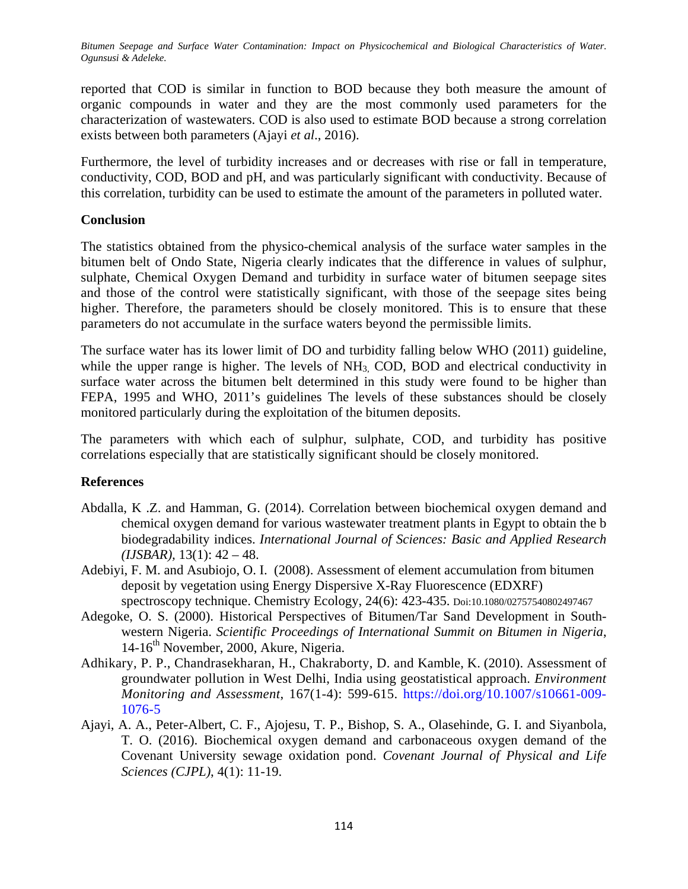reported that COD is similar in function to BOD because they both measure the amount of organic compounds in water and they are the most commonly used parameters for the characterization of wastewaters. COD is also used to estimate BOD because a strong correlation exists between both parameters (Ajayi *et al*., 2016).

Furthermore, the level of turbidity increases and or decreases with rise or fall in temperature, conductivity, COD, BOD and pH, and was particularly significant with conductivity. Because of this correlation, turbidity can be used to estimate the amount of the parameters in polluted water.

## **Conclusion**

The statistics obtained from the physico-chemical analysis of the surface water samples in the bitumen belt of Ondo State, Nigeria clearly indicates that the difference in values of sulphur, sulphate, Chemical Oxygen Demand and turbidity in surface water of bitumen seepage sites and those of the control were statistically significant, with those of the seepage sites being higher. Therefore, the parameters should be closely monitored. This is to ensure that these parameters do not accumulate in the surface waters beyond the permissible limits.

The surface water has its lower limit of DO and turbidity falling below WHO (2011) guideline, while the upper range is higher. The levels of  $NH<sub>3</sub>$  COD, BOD and electrical conductivity in surface water across the bitumen belt determined in this study were found to be higher than FEPA, 1995 and WHO, 2011's guidelines The levels of these substances should be closely monitored particularly during the exploitation of the bitumen deposits.

The parameters with which each of sulphur, sulphate, COD, and turbidity has positive correlations especially that are statistically significant should be closely monitored.

# **References**

- Abdalla, K .Z. and Hamman, G. (2014). Correlation between biochemical oxygen demand and chemical oxygen demand for various wastewater treatment plants in Egypt to obtain the b biodegradability indices. *International Journal of Sciences: Basic and Applied Research (IJSBAR),* 13(1): 42 – 48.
- Adebiyi, F. M. and Asubiojo, O. I. (2008). Assessment of element accumulation from bitumen deposit by vegetation using Energy Dispersive X-Ray Fluorescence (EDXRF) spectroscopy technique. Chemistry Ecology, 24(6): 423-435. Doi:10.1080/02757540802497467
- Adegoke, O. S. (2000). Historical Perspectives of Bitumen/Tar Sand Development in Southwestern Nigeria. *Scientific Proceedings of International Summit on Bitumen in Nigeria*, 14-16<sup>th</sup> November, 2000, Akure, Nigeria.
- Adhikary, P. P., Chandrasekharan, H., Chakraborty, D. and Kamble, K. (2010). Assessment of groundwater pollution in West Delhi, India using geostatistical approach. *Environment Monitoring and Assessment*, 167(1-4): 599-615. [https://doi.org/10.1007/s10661-009-](https://doi.org/10.1007/s10661-009-1076-5) [1076-5](https://doi.org/10.1007/s10661-009-1076-5)
- Ajayi, A. A., Peter-Albert, C. F., Ajojesu, T. P., Bishop, S. A., Olasehinde, G. I. and Siyanbola, T. O. (2016). Biochemical oxygen demand and carbonaceous oxygen demand of the Covenant University sewage oxidation pond. *Covenant Journal of Physical and Life Sciences (CJPL)*, 4(1): 11-19.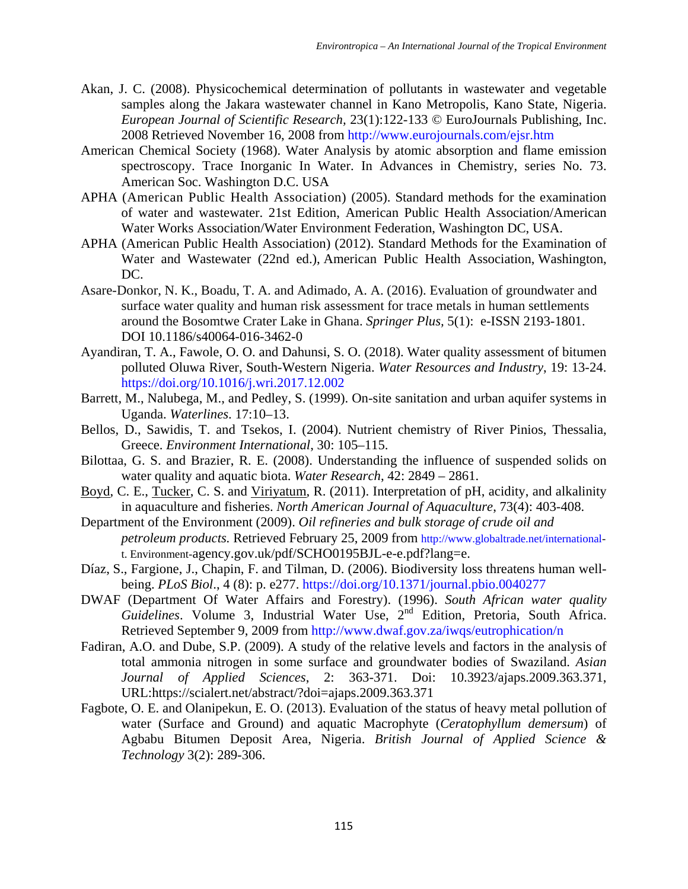- Akan, J. C. (2008). Physicochemical determination of pollutants in wastewater and vegetable samples along the Jakara wastewater channel in Kano Metropolis, Kano State, Nigeria. *European Journal of Scientific Research,* 23(1):122-133 © EuroJournals Publishing, Inc. 2008 Retrieved November 16, 2008 from<http://www.eurojournals.com/ejsr.htm>
- American Chemical Society (1968). Water Analysis by atomic absorption and flame emission spectroscopy. Trace Inorganic In Water. In Advances in Chemistry, series No. 73. American Soc. Washington D.C. USA
- APHA (American Public Health Association) (2005). Standard methods for the examination of water and wastewater. 21st Edition, American Public Health Association/American Water Works Association/Water Environment Federation, Washington DC, USA.
- APHA (American Public Health Association) (2012). Standard Methods for the Examination of Water and Wastewater (22nd ed.), American Public Health Association, Washington, DC.
- Asare-Donkor, N. K., Boadu, T. A. and Adimado, A. A. (2016). Evaluation of groundwater and surface water quality and human risk assessment for trace metals in human settlements around the Bosomtwe Crater Lake in Ghana. *Springer Plus,* 5(1): e-ISSN 2193-1801. DOI 10.1186/s40064-016-3462-0
- [Ayandiran,](https://www.sciencedirect.com/science/article/pii/S2212371717300690#!) T. A., [Fawole,](https://www.sciencedirect.com/science/article/pii/S2212371717300690#!) O. O. and [Dahunsi,](https://www.sciencedirect.com/science/article/pii/S2212371717300690#!) S. O. (2018). Water quality assessment of bitumen polluted Oluwa River, South-Western Nigeria. *[Water Resources and Industry](https://www.sciencedirect.com/science/journal/22123717)*, 19: 13-24. <https://doi.org/10.1016/j.wri.2017.12.002>
- Barrett, M., Nalubega, M., and Pedley, S. (1999). On-site sanitation and urban aquifer systems in Uganda. *Waterlines*. 17:10–13.
- Bellos, D., Sawidis, T. and Tsekos, I. (2004). Nutrient chemistry of River Pinios, Thessalia, Greece. *Environment International*, 30: 105–115.
- Bilottaa, G. S. and Brazier, R. E. (2008). Understanding the influence of suspended solids on water quality and aquatic biota. *Water Research*, 42: 2849 – 2861.
- [Boyd,](https://www.tandfonline.com/author/Boyd%2C+Claude+E) C. E., [Tucker,](https://www.tandfonline.com/author/Tucker%2C+Craig+S) C. S. and [Viriyatum,](https://www.tandfonline.com/author/Viriyatum%2C+Rawee) R. (2011). Interpretation of pH, acidity, and alkalinity in aquaculture and fisheries. *North American Journal of Aquaculture*, 73(4): 403-408.
- Department of the Environment (2009). *Oil refineries and bulk storage of crude oil and petroleum products.* Retrieved February 25, 2009 from <http://www.globaltrade.net/international>t. Environment-agency.gov.uk/pdf/SCHO0195BJL-e-e.pdf?lang=e.
- Díaz, S., Fargione, J., Chapin, F. and Tilman, D. (2006). Biodiversity loss threatens human wellbeing. *PLoS Biol*., 4 (8): p. e277.<https://doi.org/10.1371/journal.pbio.0040277>
- DWAF (Department Of Water Affairs and Forestry). (1996). *South African water quality*  Guidelines. Volume 3, Industrial Water Use, 2<sup>nd</sup> Edition, Pretoria, South Africa. Retrieved September 9, 2009 from<http://www.dwaf.gov.za/iwqs/eutrophication/n>
- Fadiran, A.O. and Dube, S.P. (2009). A study of the relative levels and factors in the analysis of total ammonia nitrogen in some surface and groundwater bodies of Swaziland. *Asian Journal of Applied Sciences*, 2: 363-371. Doi: 10.3923/ajaps.2009.363.371, URL:https://scialert.net/abstract/?doi=ajaps.2009.363.371
- Fagbote, O. E. and Olanipekun, E. O. (2013). Evaluation of the status of heavy metal pollution of water (Surface and Ground) and aquatic Macrophyte (*Ceratophyllum demersum*) of Agbabu Bitumen Deposit Area, Nigeria. *British Journal of Applied Science & Technology* 3(2): 289-306.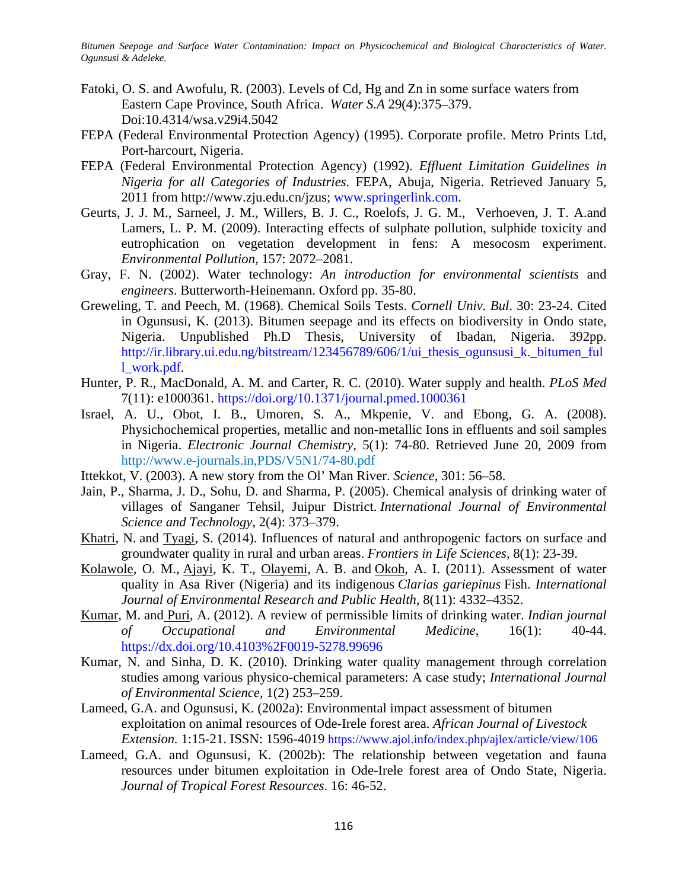- Fatoki, O. S. and Awofulu, R. (2003). Levels of Cd, Hg and Zn in some surface waters from Eastern Cape Province, South Africa. *Water S.A* 29(4):375–379. Doi:10.4314/wsa.v29i4.5042
- FEPA (Federal Environmental Protection Agency) (1995). Corporate profile. Metro Prints Ltd, Port-harcourt, Nigeria.
- FEPA (Federal Environmental Protection Agency) (1992). *Effluent Limitation Guidelines in Nigeria for all Categories of Industries.* FEPA, Abuja, Nigeria. Retrieved January 5, 2011 from http://www.zju.edu.cn/jzus; [www.springerlink.com.](http://www.springerlink.com/)
- Geurts, J. J. M., Sarneel, J. M., Willers, B. J. C., Roelofs, J. G. M., Verhoeven, J. T. A.and Lamers, L. P. M. (2009). Interacting effects of sulphate pollution, sulphide toxicity and eutrophication on vegetation development in fens: A mesocosm experiment. *Environmental Pollution*, 157: 2072–2081.
- Gray, F. N. (2002). Water technology: *An introduction for environmental scientists* and *engineers*. Butterworth-Heinemann. Oxford pp. 35-80.
- Greweling, T. and Peech, M. (1968). Chemical Soils Tests. *Cornell Univ. Bul*. 30: 23-24. Cited in Ogunsusi, K. (2013). Bitumen seepage and its effects on biodiversity in Ondo state, Nigeria. Unpublished Ph.D Thesis, University of Ibadan, Nigeria. 392pp. [http://ir.library.ui.edu.ng/bitstream/123456789/606/1/ui\\_thesis\\_ogunsusi\\_k.\\_bitumen\\_ful](http://ir.library.ui.edu.ng/bitstream/123456789/606/1/ui_thesis_ogunsusi_k._bitumen_full_work.pdf) [l\\_work.pdf.](http://ir.library.ui.edu.ng/bitstream/123456789/606/1/ui_thesis_ogunsusi_k._bitumen_full_work.pdf)
- Hunter, P. R., MacDonald, A. M. and Carter, R. C. (2010). Water supply and health. *PLoS Med* 7(11): e1000361.<https://doi.org/10.1371/journal.pmed.1000361>
- Israel, A. U., Obot, I. B., Umoren, S. A., Mkpenie, V. and Ebong, G. A. (2008). Physichochemical properties, metallic and non-metallic Ions in effluents and soil samples in Nigeria. *Electronic Journal Chemistry*, 5(1): 74-80. Retrieved June 20, 2009 from [http://www.](http://www/)e-journals.in,PDS/V5N1/74-80.pdf
- Ittekkot, V. (2003). A new story from the Ol' Man River. *Science*, 301: 56–58.
- Jain, P., Sharma, J. D., Sohu, D. and Sharma, P. (2005). Chemical analysis of drinking water of villages of Sanganer Tehsil, Juipur District. *International Journal of Environmental Science and Technology,* 2(4): 373–379.
- [Khatri,](https://www.tandfonline.com/author/Khatri%2C+Nitasha) N. and [Tyagi,](https://www.tandfonline.com/author/Tyagi%2C+Sanjiv) S. (2014). Influences of natural and anthropogenic factors on surface and groundwater quality in rural and urban areas. *Frontiers in Life Sciences*, 8(1): 23-39.
- [Kolawole,](https://www.ncbi.nlm.nih.gov/pubmed/?term=Kolawole%20OM%5BAuthor%5D&cauthor=true&cauthor_uid=22163210) O. M., [Ajayi,](https://www.ncbi.nlm.nih.gov/pubmed/?term=Ajayi%20KT%5BAuthor%5D&cauthor=true&cauthor_uid=22163210) K. T., [Olayemi,](https://www.ncbi.nlm.nih.gov/pubmed/?term=Olayemi%20AB%5BAuthor%5D&cauthor=true&cauthor_uid=22163210) A. B. and [Okoh,](https://www.ncbi.nlm.nih.gov/pubmed/?term=Okoh%20AI%5BAuthor%5D&cauthor=true&cauthor_uid=22163210) A. I. (2011). Assessment of water quality in Asa River (Nigeria) and its indigenous *Clarias gariepinus* Fish. *[International](https://www.ncbi.nlm.nih.gov/pmc/articles/PMC3228574/)  [Journal of Environmental Research and Public Health](https://www.ncbi.nlm.nih.gov/pmc/articles/PMC3228574/)*, 8(11): 4332–4352.
- [Kumar,](https://www.ncbi.nlm.nih.gov/pubmed/?term=Kumar%20M%5BAuthor%5D&cauthor=true&cauthor_uid=23112507) M. and [Puri,](https://www.ncbi.nlm.nih.gov/pubmed/?term=Puri%20A%5BAuthor%5D&cauthor=true&cauthor_uid=23112507) A. (2012). A review of permissible limits of drinking water. *Indian journal of Occupational and Environmental Medicine*, 16(1): 40-44. <https://dx.doi.org/10.4103%2F0019-5278.99696>
- Kumar, N. and Sinha, D. K. (2010). Drinking water quality management through correlation studies among various physico-chemical parameters: A case study; *International Journal of Environmental Science,* 1(2) 253–259.
- Lameed, G.A. and Ogunsusi, K. (2002a): Environmental impact assessment of bitumen exploitation on animal resources of Ode-Irele forest area. *African Journal of Livestock Extension.* 1:15-21. ISSN: 1596-4019 <https://www.ajol.info/index.php/ajlex/article/view/106>
- Lameed, G.A. and Ogunsusi, K. (2002b): The relationship between vegetation and fauna resources under bitumen exploitation in Ode-Irele forest area of Ondo State, Nigeria. *Journal of Tropical Forest Resources*. 16: 46-52.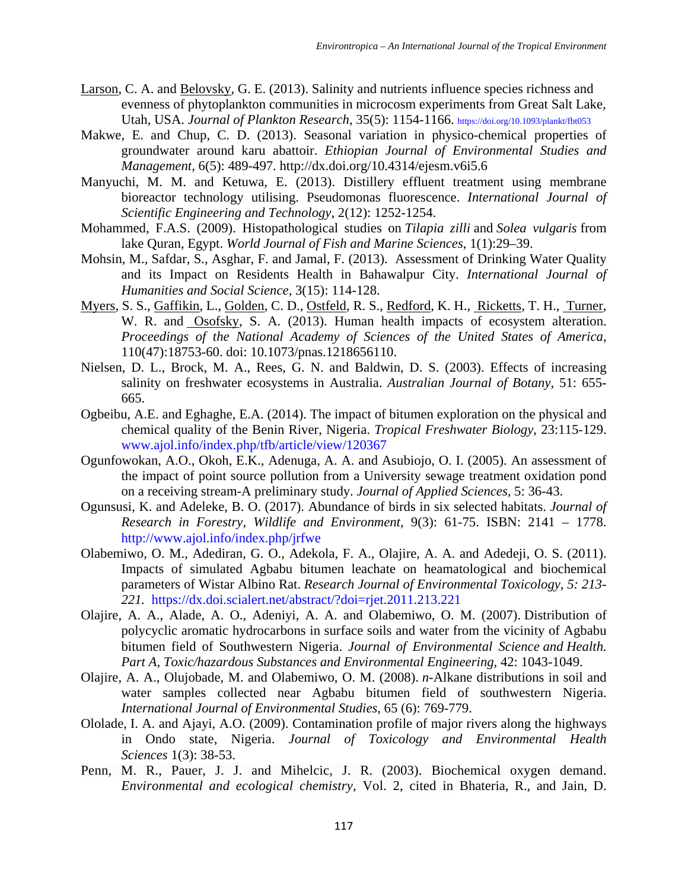- [Larson,](javascript:;) C. A. and [Belovsky,](javascript:;) G. E. (2013). Salinity and nutrients influence species richness and evenness of phytoplankton communities in microcosm experiments from Great Salt Lake, Utah, USA. *Journal of Plankton Research*, 35(5): 1154-1166.<https://doi.org/10.1093/plankt/fbt053>
- Makwe, E. and Chup, C. D. (2013). Seasonal variation in physico-chemical properties of groundwater around karu abattoir. *Ethiopian Journal of Environmental Studies and Management,* 6(5): 489-497. http://dx.doi.org/10.4314/ejesm.v6i5.6
- Manyuchi, M. M. and Ketuwa, E. (2013). Distillery effluent treatment using membrane bioreactor technology utilising. Pseudomonas fluorescence. *International Journal of Scientific Engineering and Technology*, 2(12): 1252-1254.
- Mohammed, F.A.S. (2009). Histopathological studies on *Tilapia zilli* and *Solea vulgaris* from lake Quran, Egypt. *World Journal of Fish and Marine Sciences*, 1(1):29–39.
- Mohsin, M., Safdar, S., Asghar, F. and Jamal, F. (2013). Assessment of Drinking Water Quality and its Impact on Residents Health in Bahawalpur City. *International Journal of Humanities and Social Science*, 3(15): 114-128.
- [Myers,](https://www.ncbi.nlm.nih.gov/pubmed/?term=Myers%20SS%5BAuthor%5D&cauthor=true&cauthor_uid=24218556) S. S., [Gaffikin,](https://www.ncbi.nlm.nih.gov/pubmed/?term=Gaffikin%20L%5BAuthor%5D&cauthor=true&cauthor_uid=24218556) L., [Golden,](https://www.ncbi.nlm.nih.gov/pubmed/?term=Golden%20CD%5BAuthor%5D&cauthor=true&cauthor_uid=24218556) C. D., [Ostfeld,](https://www.ncbi.nlm.nih.gov/pubmed/?term=Ostfeld%20RS%5BAuthor%5D&cauthor=true&cauthor_uid=24218556) R. S., [Redford,](https://www.ncbi.nlm.nih.gov/pubmed/?term=H.%20Redford%20K%5BAuthor%5D&cauthor=true&cauthor_uid=24218556) K. H., [Ricketts,](https://www.ncbi.nlm.nih.gov/pubmed/?term=H.%20Ricketts%20T%5BAuthor%5D&cauthor=true&cauthor_uid=24218556) T. H., [Turner,](https://www.ncbi.nlm.nih.gov/pubmed/?term=Turner%20WR%5BAuthor%5D&cauthor=true&cauthor_uid=24218556) W. R. and [Osofsky,](https://www.ncbi.nlm.nih.gov/pubmed/?term=Osofsky%20SA%5BAuthor%5D&cauthor=true&cauthor_uid=24218556) S. A. (2013). Human health impacts of ecosystem alteration. *Proceedings of the National Academy of Sciences of the United States of America*, 110(47):18753-60. doi: 10.1073/pnas.1218656110.
- Nielsen, D. L., Brock, M. A., Rees, G. N. and Baldwin, D. S. (2003). Effects of increasing salinity on freshwater ecosystems in Australia. *Australian Journal of Botany*, 51: 655- 665.
- Ogbeibu, A.E. and Eghaghe, E.A. (2014). The impact of bitumen exploration on the physical and chemical quality of the Benin River, Nigeria. *Tropical Freshwater Biology*, 23:115-129. [www.ajol.info/index.php/tfb/article/view/120367](http://www.ajol.info/index.php/tfb/article/view/120367)
- Ogunfowokan, A.O., Okoh, E.K., Adenuga, A. A. and Asubiojo, O. I. (2005). An assessment of the impact of point source pollution from a University sewage treatment oxidation pond on a receiving stream-A preliminary study. *Journal of Applied Sciences,* 5: 36-43.
- Ogunsusi, K. and Adeleke, B. O. (2017). Abundance of birds in six selected habitats. *Journal of Research in Forestry, Wildlife and Environment,* 9(3): 61-75. ISBN: 2141 – 1778. <http://www.ajol.info/index.php/jrfwe>
- Olabemiwo, O. M., Adediran, G. O., Adekola, F. A., Olajire, A. A. and Adedeji, O. S. (2011). Impacts of simulated Agbabu bitumen leachate on heamatological and biochemical parameters of Wistar Albino Rat. *Research Journal of Environmental Toxicology, 5: 213- 221.* <https://dx.doi.scialert.net/abstract/?doi=rjet.2011.213.221>
- Olajire, A. A., Alade, A. O., Adeniyi, A. A. and Olabemiwo, O. M. (2007). Distribution of polycyclic aromatic hydrocarbons in surface soils and water from the vicinity of Agbabu bitumen field of Southwestern Nigeria. *Journal of Environmental Science and Health. Part A, Toxic/hazardous Substances and Environmental Engineering,* 42: 1043-1049.
- Olajire, A. A., Olujobade, M. and Olabemiwo, O. M. (2008). *n*-Alkane distributions in soil and water samples collected near Agbabu bitumen field of southwestern Nigeria. *International Journal of Environmental Studies*, 65 (6): 769-779.
- Ololade, I. A. and Ajayi, A.O. (2009). Contamination profile of major rivers along the highways in Ondo state, Nigeria. *Journal of Toxicology and Environmental Health Sciences* 1(3): 38-53.
- Penn, M. R., Pauer, J. J. and Mihelcic, J. R. (2003). Biochemical oxygen demand. *Environmental and ecological chemistry*, Vol. 2, cited in Bhateria, R., and Jain, D.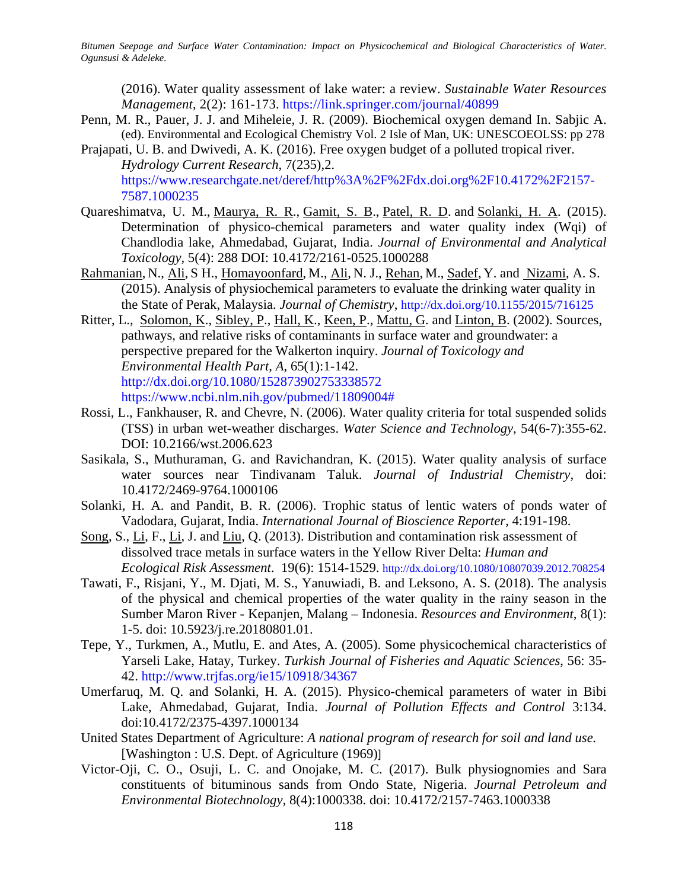(2016). Water quality assessment of lake water: a review. *Sustainable Water Resources Management*, 2(2): 161-173. <https://link.springer.com/journal/40899>

- Penn, M. R., Pauer, J. J. and Miheleie, J. R. (2009). Biochemical oxygen demand In. Sabjic A. (ed). Environmental and Ecological Chemistry Vol. 2 Isle of Man, UK: UNESCOEOLSS: pp 278
- Prajapati, U. B. and Dwivedi, A. K. (2016). Free oxygen budget of a polluted tropical river. *Hydrology Current Research*, 7(235),2. [https://www.researchgate.net/deref/http%3A%2F%2Fdx.doi.org%2F10.4172%2F2157-](https://www.researchgate.net/deref/http%3A%2F%2Fdx.doi.org%2F10.4172%2F2157-7587.1000235) [7587.1000235](https://www.researchgate.net/deref/http%3A%2F%2Fdx.doi.org%2F10.4172%2F2157-7587.1000235)
- Quareshimatva, U. M., [Maurya, R. R.](https://www.omicsonline.org/author-profile/maurya-rr-243712/), [Gamit, S. B.](https://www.omicsonline.org/author-profile/gamit-sb-243713/), [Patel, R. D.](https://www.omicsonline.org/author-profile/patel-rd-243714/) and [Solanki, H. A.](https://www.omicsonline.org/author-profile/solanki-ha-243716/) (2015). Determination of physico-chemical parameters and water quality index (Wqi) of Chandlodia lake, Ahmedabad, Gujarat, India. *Journal of Environmental and Analytical Toxicology,* 5(4): 288 DOI: 10.4172/2161-0525.1000288
- [Rahmanian,](https://www.hindawi.com/64093549/) N., [Ali,](https://www.hindawi.com/38598342/) S H., [Homayoonfard,](https://www.hindawi.com/26230163/) M., Ali, N. J., [Rehan,](https://www.hindawi.com/79513974/) M., [Sadef,](https://www.hindawi.com/83919042/) Y. and [Nizami,](https://www.hindawi.com/36750876/) A. S. (2015). Analysis of physiochemical parameters to evaluate the drinking water quality in the State of Perak, Malaysia. *Journal of Chemistry*, <http://dx.doi.org/10.1155/2015/716125>
- Ritter, L., [Solomon, K.](https://www.ncbi.nlm.nih.gov/pubmed/?term=Solomon%20K%5BAuthor%5D&cauthor=true&cauthor_uid=11809004), [Sibley, P.](https://www.ncbi.nlm.nih.gov/pubmed/?term=Sibley%20P%5BAuthor%5D&cauthor=true&cauthor_uid=11809004), [Hall, K.](https://www.ncbi.nlm.nih.gov/pubmed/?term=Hall%20K%5BAuthor%5D&cauthor=true&cauthor_uid=11809004), [Keen, P.](https://www.ncbi.nlm.nih.gov/pubmed/?term=Keen%20P%5BAuthor%5D&cauthor=true&cauthor_uid=11809004), [Mattu, G.](https://www.ncbi.nlm.nih.gov/pubmed/?term=Mattu%20G%5BAuthor%5D&cauthor=true&cauthor_uid=11809004) and [Linton, B.](https://www.ncbi.nlm.nih.gov/pubmed/?term=Linton%20B%5BAuthor%5D&cauthor=true&cauthor_uid=11809004) (2002). Sources, pathways, and relative risks of contaminants in surface water and groundwater: a perspective prepared for the Walkerton inquiry. *[Journal of Toxicology and](https://www.ncbi.nlm.nih.gov/pubmed/11809004)  [Environmental Health Part, A](https://www.ncbi.nlm.nih.gov/pubmed/11809004)*, 65(1):1-142. <http://dx.doi.org/10.1080/152873902753338572> [https://www.ncbi.nlm.nih.gov/pubmed/11809004#](https://www.ncbi.nlm.nih.gov/pubmed/11809004)
- Rossi, L., Fankhauser, R. and Chevre, N. (2006). Water quality criteria for total suspended solids (TSS) in urban wet-weather discharges. *Water Science and Technology*, 54(6-7):355-62. DOI: 10.2166/wst.2006.623
- Sasikala, S., Muthuraman, G. and Ravichandran, K. (2015). Water quality analysis of surface water sources near Tindivanam Taluk. *Journal of Industrial Chemistry,* doi: 10.4172/2469-9764.1000106
- Solanki, H. A. and Pandit, B. R. (2006). Trophic status of lentic waters of ponds water of Vadodara, Gujarat, India. *International Journal of Bioscience Reporter,* 4:191-198.
- [Song,](https://www.tandfonline.com/author/Song%2C+Shuai) S., [Li,](https://www.tandfonline.com/author/Li%2C+Jing) F., Li, J. and [Liu,](https://www.tandfonline.com/author/Liu%2C+Qiang) Q. (2013). Distribution and contamination risk assessment of dissolved trace metals in surface waters in the Yellow River Delta: *[Human and](https://www.tandfonline.com/toc/bher20/current)  Ecological [Risk Assessment](https://www.tandfonline.com/toc/bher20/current)*. 19(6): 1514-1529.<http://dx.doi.org/10.1080/10807039.2012.708254>
- Tawati, F., Risjani, Y., M. Djati, M. S., Yanuwiadi, B. and Leksono, A. S. (2018). The analysis of the physical and chemical properties of the water quality in the rainy season in the Sumber Maron River - Kepanjen, Malang – Indonesia. *Resources and Environment*, 8(1): 1-5. doi: 10.5923/j.re.20180801.01.
- Tepe, Y., Turkmen, A., Mutlu, E. and Ates, A. (2005). Some physicochemical characteristics of Yarseli Lake, Hatay, Turkey. *Turkish Journal of Fisheries and Aquatic Sciences*, 56: 35- 42. <http://www.trjfas.org/ie15/10918/34367>
- Umerfaruq, M. Q. and Solanki, H. A. (2015). Physico-chemical parameters of water in Bibi Lake, Ahmedabad, Gujarat, India. *Journal of Pollution Effects and Control* 3:134. doi:10.4172/2375-4397.1000134
- United States Department of Agriculture: *[A national program of research for soil and land use.](https://catalog.hathitrust.org/Record/010065081)*  [\[Washington : U.S. Dept. of Agriculture \(1969\)](https://catalog.hathitrust.org/Record/010065081)]
- Victor-Oji, C. O., Osuji, L. C. and Onojake, M. C. (2017). Bulk physiognomies and Sara constituents of bituminous sands from Ondo State, Nigeria. *Journal Petroleum and Environmental Biotechnology,* 8(4):1000338. doi: 10.4172/2157-7463.1000338